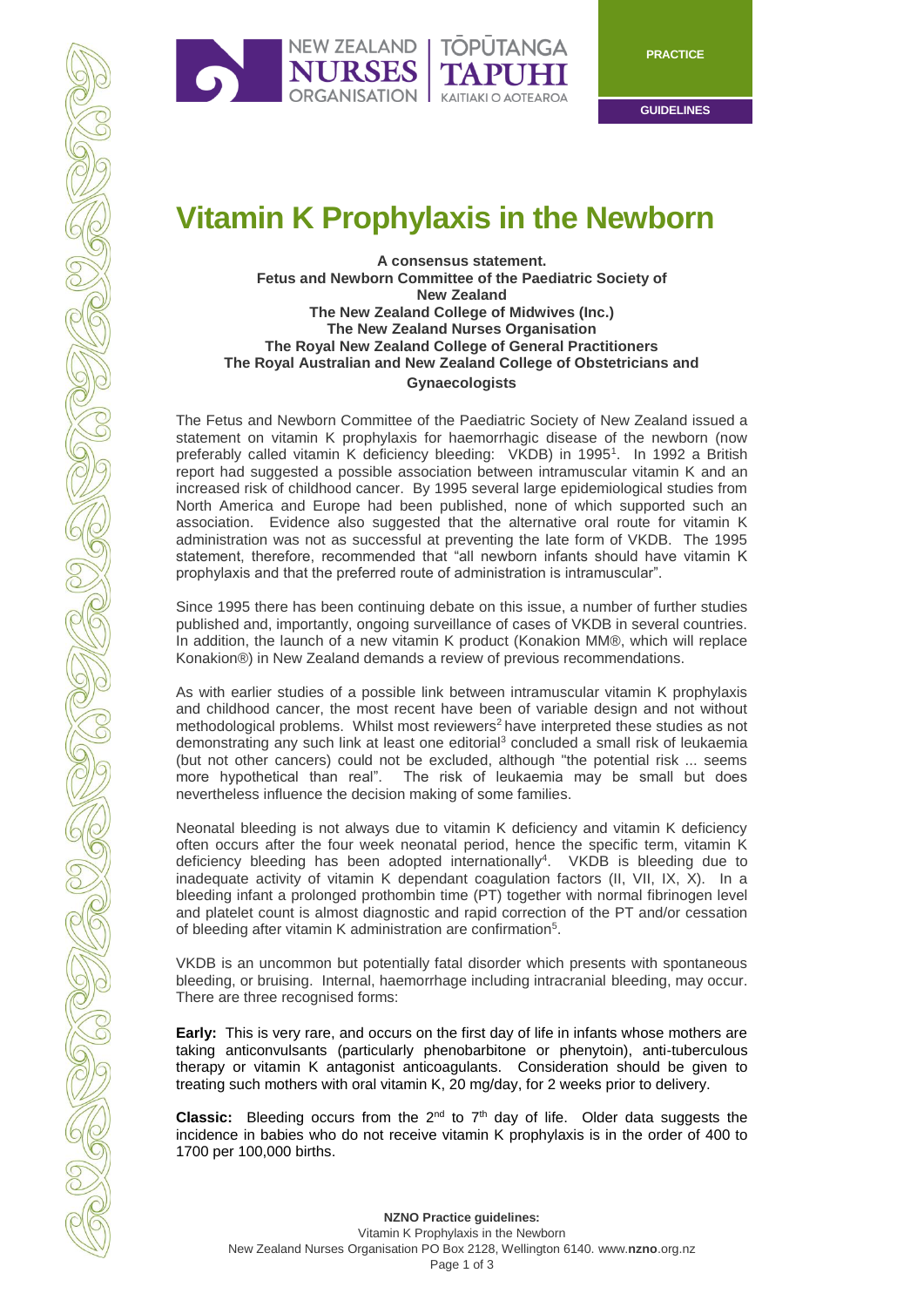

**GUIDELINES**

# **Vitamin K Prophylaxis in the Newborn**

### **A consensus statement. Fetus and Newborn Committee of the Paediatric Society of New Zealand The New Zealand College of Midwives (Inc.) The New Zealand Nurses Organisation The Royal New Zealand College of General Practitioners The Royal Australian and New Zealand College of Obstetricians and Gynaecologists**

The Fetus and Newborn Committee of the Paediatric Society of New Zealand issued a statement on vitamin K prophylaxis for haemorrhagic disease of the newborn (now preferably called vitamin K deficiency bleeding: VKDB) in 1995<sup>1</sup>. In 1992 a British report had suggested a possible association between intramuscular vitamin K and an increased risk of childhood cancer. By 1995 several large epidemiological studies from North America and Europe had been published, none of which supported such an association. Evidence also suggested that the alternative oral route for vitamin K administration was not as successful at preventing the late form of VKDB. The 1995 statement, therefore, recommended that "all newborn infants should have vitamin K prophylaxis and that the preferred route of administration is intramuscular".

Since 1995 there has been continuing debate on this issue, a number of further studies published and, importantly, ongoing surveillance of cases of VKDB in several countries. In addition, the launch of a new vitamin K product (Konakion MM®, which will replace Konakion®) in New Zealand demands a review of previous recommendations.

As with earlier studies of a possible link between intramuscular vitamin K prophylaxis and childhood cancer, the most recent have been of variable design and not without methodological problems. Whilst most reviewers<sup>2</sup> have interpreted these studies as not demonstrating any such link at least one editorial<sup>3</sup> concluded a small risk of leukaemia (but not other cancers) could not be excluded, although "the potential risk ... seems more hypothetical than real". The risk of leukaemia may be small but does nevertheless influence the decision making of some families.

Neonatal bleeding is not always due to vitamin K deficiency and vitamin K deficiency often occurs after the four week neonatal period, hence the specific term, vitamin K deficiency bleeding has been adopted internationally<sup>4</sup>. VKDB is bleeding due to inadequate activity of vitamin K dependant coagulation factors (II, VII, IX, X). In a bleeding infant a prolonged prothombin time (PT) together with normal fibrinogen level and platelet count is almost diagnostic and rapid correction of the PT and/or cessation of bleeding after vitamin K administration are confirmation<sup>5</sup>.

VKDB is an uncommon but potentially fatal disorder which presents with spontaneous bleeding, or bruising. Internal, haemorrhage including intracranial bleeding, may occur. There are three recognised forms:

**Early:** This is very rare, and occurs on the first day of life in infants whose mothers are taking anticonvulsants (particularly phenobarbitone or phenytoin), anti-tuberculous therapy or vitamin K antagonist anticoagulants. Consideration should be given to treating such mothers with oral vitamin K, 20 mg/day, for 2 weeks prior to delivery.

Classic: Bleeding occurs from the 2<sup>nd</sup> to 7<sup>th</sup> day of life. Older data suggests the incidence in babies who do not receive vitamin K prophylaxis is in the order of 400 to 1700 per 100,000 births.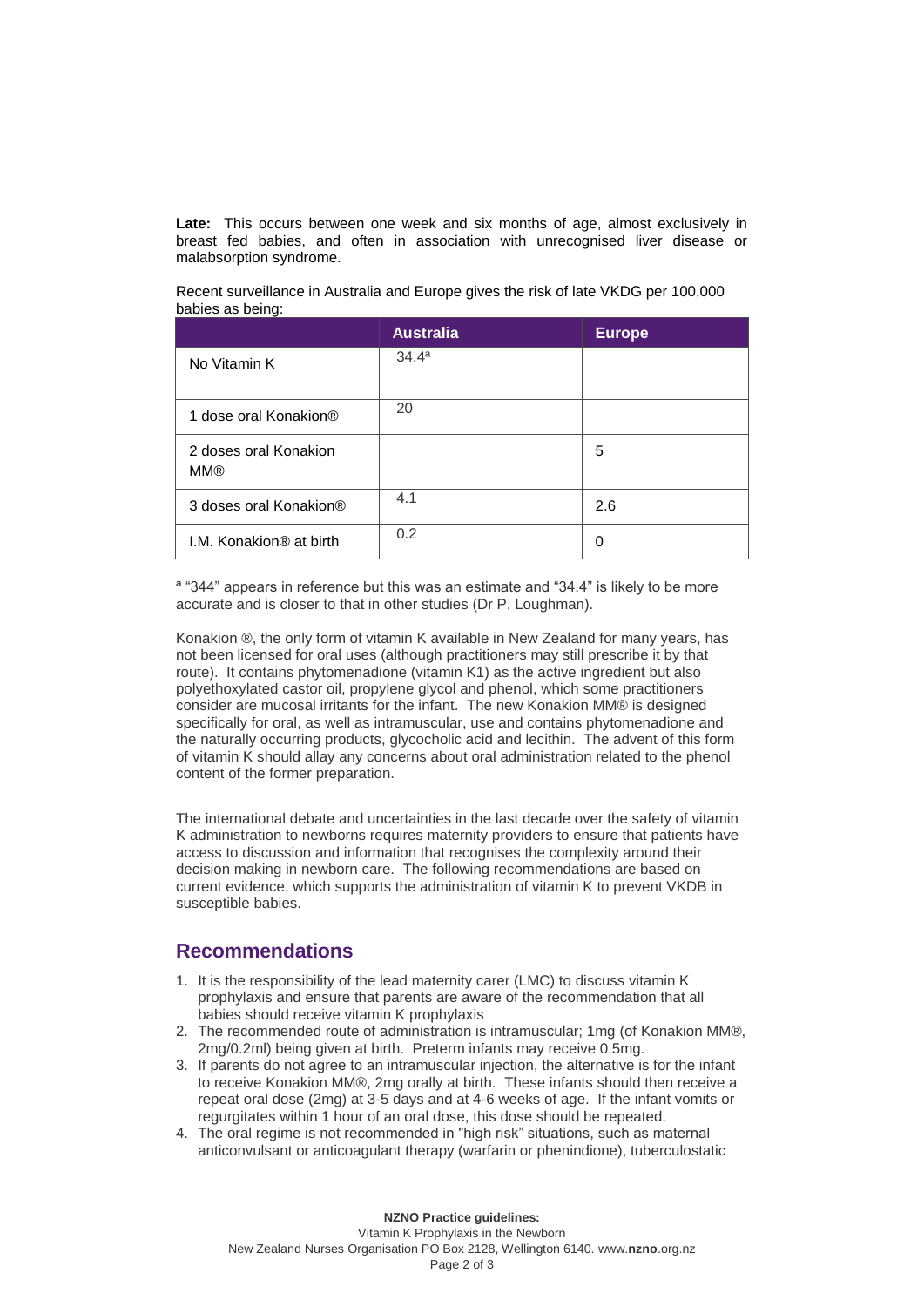**Late:** This occurs between one week and six months of age, almost exclusively in breast fed babies, and often in association with unrecognised liver disease or malabsorption syndrome.

Recent surveillance in Australia and Europe gives the risk of late VKDG per 100,000 babies as being:

|                                     | <b>Australia</b>  | <b>Europe</b> |
|-------------------------------------|-------------------|---------------|
| No Vitamin K                        | 34.4 <sup>a</sup> |               |
| 1 dose oral Konakion®               | 20                |               |
| 2 doses oral Konakion<br><b>MM®</b> |                   | 5             |
| 3 doses oral Konakion®              | 4.1               | 2.6           |
| I.M. Konakion <sup>®</sup> at birth | 0.2               | 0             |

ª "344" appears in reference but this was an estimate and "34.4" is likely to be more accurate and is closer to that in other studies (Dr P. Loughman).

Konakion ®, the only form of vitamin K available in New Zealand for many years, has not been licensed for oral uses (although practitioners may still prescribe it by that route). It contains phytomenadione (vitamin K1) as the active ingredient but also polyethoxylated castor oil, propylene glycol and phenol, which some practitioners consider are mucosal irritants for the infant. The new Konakion MM® is designed specifically for oral, as well as intramuscular, use and contains phytomenadione and the naturally occurring products, glycocholic acid and lecithin. The advent of this form of vitamin K should allay any concerns about oral administration related to the phenol content of the former preparation.

The international debate and uncertainties in the last decade over the safety of vitamin K administration to newborns requires maternity providers to ensure that patients have access to discussion and information that recognises the complexity around their decision making in newborn care. The following recommendations are based on current evidence, which supports the administration of vitamin K to prevent VKDB in susceptible babies.

## **Recommendations**

- 1. It is the responsibility of the lead maternity carer (LMC) to discuss vitamin K prophylaxis and ensure that parents are aware of the recommendation that all babies should receive vitamin K prophylaxis
- 2. The recommended route of administration is intramuscular; 1mg (of Konakion MM®, 2mg/0.2ml) being given at birth. Preterm infants may receive 0.5mg.
- 3. If parents do not agree to an intramuscular injection, the alternative is for the infant to receive Konakion MM®, 2mg orally at birth. These infants should then receive a repeat oral dose (2mg) at 3-5 days and at 4-6 weeks of age. If the infant vomits or regurgitates within 1 hour of an oral dose, this dose should be repeated.
- 4. The oral regime is not recommended in "high risk" situations, such as maternal anticonvulsant or anticoagulant therapy (warfarin or phenindione), tuberculostatic